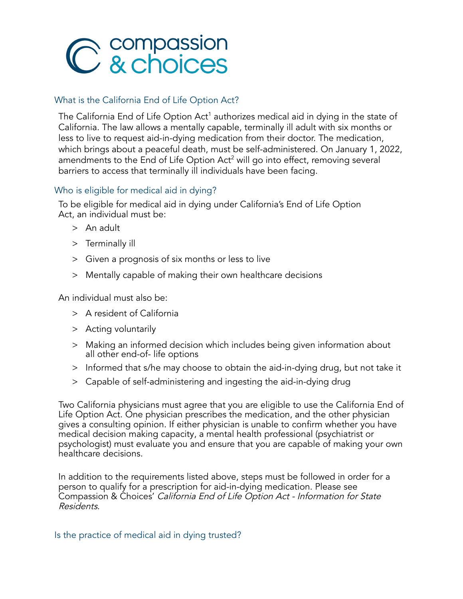

# What is the California End of Life Option Act?

The California End of Life Option Act<sup>1</sup> authorizes medical aid in dying in the state of California. The law allows a mentally capable, terminally ill adult with six months or less to live to request aid-in-dying medication from their doctor. The medication, which brings about a peaceful death, must be self-administered. On January 1, 2022, amendments to the End of Life Option Act<sup>2</sup> will go into effect, removing several barriers to access that terminally ill individuals have been facing.

# Who is eligible for medical aid in dying?

To be eligible for medical aid in dying under California's End of Life Option Act, an individual must be:

- > An adult
- > Terminally ill
- > Given a prognosis of six months or less to live
- > Mentally capable of making their own healthcare decisions

An individual must also be:

- > A resident of California
- > Acting voluntarily
- > Making an informed decision which includes being given information about all other end-of- life options
- > Informed that s/he may choose to obtain the aid-in-dying drug, but not take it
- > Capable of self-administering and ingesting the aid-in-dying drug

Two California physicians must agree that you are eligible to use the California End of Life Option Act. One physician prescribes the medication, and the other physician gives a consulting opinion. If either physician is unable to confirm whether you have medical decision making capacity, a mental health professional (psychiatrist or psychologist) must evaluate you and ensure that you are capable of making your own healthcare decisions.

In addition to the requirements listed above, steps must be followed in order for a person to qualify for a prescription for aid-in-dying medication. Please see Compassion & Choices' California End of Life Option Act - Information for State Residents.

Is the practice of medical aid in dying trusted?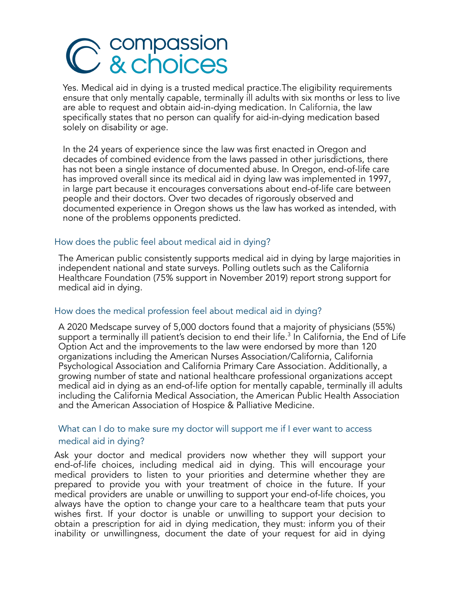# C & choices

Yes. Medical aid in dying is a trusted medical practice.The eligibility requirements ensure that only mentally capable, terminally ill adults with six months or less to live are able to request and obtain aid-in-dying medication. In California, the law specifically states that no person can qualify for aid-in-dying medication based solely on disability or age.

In the 24 years of experience since the law was first enacted in Oregon and decades of combined evidence from the laws passed in other jurisdictions, there has not been a single instance of documented abuse. In Oregon, end-of-life care has improved overall since its medical aid in dying law was implemented in 1997, in large part because it encourages conversations about end-of-life care between people and their doctors. Over two decades of rigorously observed and documented experience in Oregon shows us the law has worked as intended, with none of the problems opponents predicted.

#### How does the public feel about medical aid in dying?

The American public consistently supports medical aid in dying by large majorities in independent national and state surveys. Polling outlets such as the California Healthcare Foundation (75% support in November 2019) report strong support for medical aid in dying.

#### How does the medical profession feel about medical aid in dying?

A 2020 Medscape survey of 5,000 doctors found that a majority of physicians (55%) support a terminally ill patient's decision to end their life. $^3$  In California, the End of Life Option Act and the improvements to the law were endorsed by more than 120 organizations including the American Nurses Association/California, California Psychological Association and California Primary Care Association. Additionally, a growing number of state and national healthcare professional organizations accept medical aid in dying as an end-of-life option for mentally capable, terminally ill adults including the California Medical Association, the American Public Health Association and the American Association of Hospice & Palliative Medicine.

# What can I do to make sure my doctor will support me if I ever want to access medical aid in dying?

Ask your doctor and medical providers now whether they will support your end-of-life choices, including medical aid in dying. This will encourage your medical providers to listen to your priorities and determine whether they are prepared to provide you with your treatment of choice in the future. If your medical providers are unable or unwilling to support your end-of-life choices, you always have the option to change your care to a healthcare team that puts your wishes first. If your doctor is unable or unwilling to support your decision to obtain a prescription for aid in dying medication, they must: inform you of their inability or unwillingness, document the date of your request for aid in dying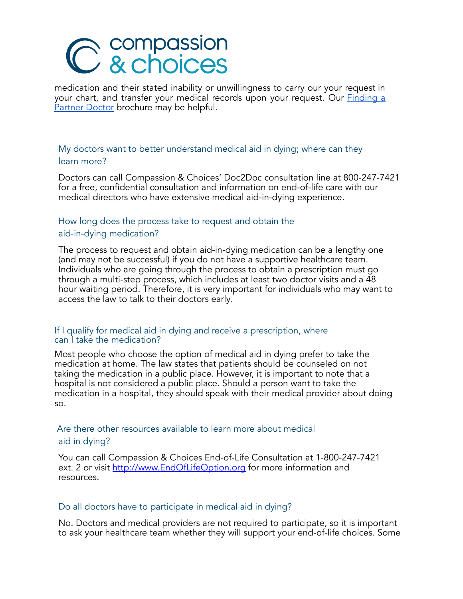# C & choices

medication and their stated inability or unwillingness to carry our your request in your chart, and transfer your medical records upon your request. Our **[Finding](https://compassionandchoices.org/resource/finding-a-partner-doctor/) a** [Partner](https://compassionandchoices.org/resource/finding-a-partner-doctor/) Doctor brochure may be helpful.

# My doctors want to better understand medical aid in dying; where can they learn more?

Doctors can call Compassion & Choices' Doc2Doc consultation line at 800-247-7421 for a free, confidential consultation and information on end-of-life care with our medical directors who have extensive medical aid-in-dying experience.

# How long does the process take to request and obtain the aid-in-dying medication?

The process to request and obtain aid-in-dying medication can be a lengthy one (and may not be successful) if you do not have a supportive healthcare team. Individuals who are going through the process to obtain a prescription must go through a multi-step process, which includes at least two doctor visits and a 48 hour waiting period. Therefore, it is very important for individuals who may want to access the law to talk to their doctors early.

#### If I qualify for medical aid in dying and receive a prescription, where can I take the medication?

Most people who choose the option of medical aid in dying prefer to take the medication at home. The law states that patients should be counseled on not taking the medication in a public place. However, it is important to note that a hospital is not considered a public place. Should a person want to take the medication in a hospital, they should speak with their medical provider about doing so.

#### Are there other resources available to learn more about medical

#### aid in dying?

You can call Compassion & Choices End-of-Life Consultation at 1-800-247-7421 ext. 2 or visit [http://www.EndOfLifeOption.org](http://www.endoflifeoption.org/) for more information and resources.

#### Do all doctors have to participate in medical aid in dying?

No. Doctors and medical providers are not required to participate, so it is important to ask your healthcare team whether they will support your end-of-life choices. Some